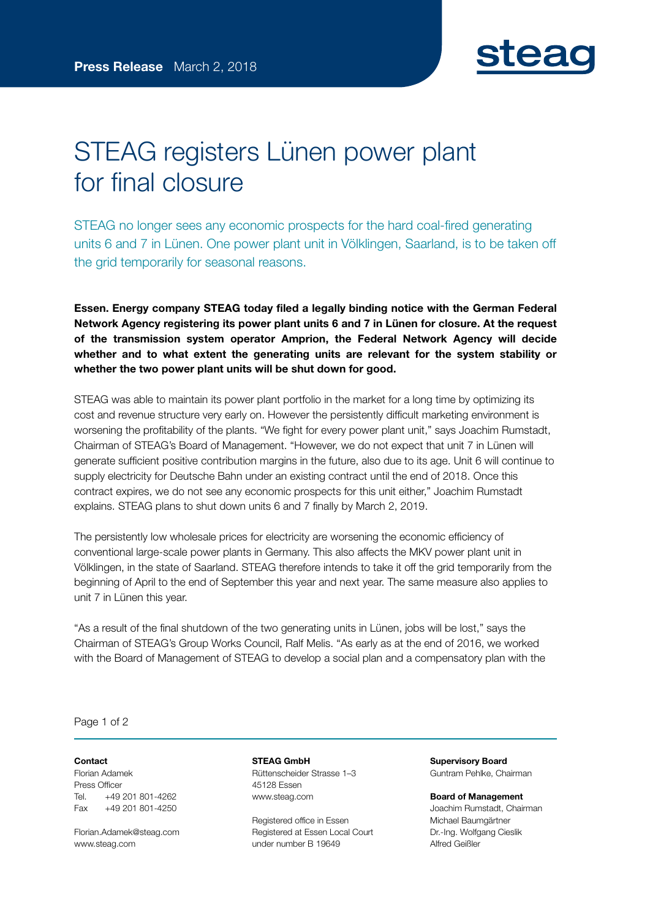

## STEAG registers Lünen power plant for final closure

STEAG no longer sees any economic prospects for the hard coal-fired generating units 6 and 7 in Lünen. One power plant unit in Völklingen, Saarland, is to be taken off the grid temporarily for seasonal reasons.

Essen. Energy company STEAG today filed a legally binding notice with the German Federal Network Agency registering its power plant units 6 and 7 in Lünen for closure. At the request of the transmission system operator Amprion, the Federal Network Agency will decide whether and to what extent the generating units are relevant for the system stability or whether the two power plant units will be shut down for good.

STEAG was able to maintain its power plant portfolio in the market for a long time by optimizing its cost and revenue structure very early on. However the persistently difficult marketing environment is worsening the profitability of the plants. "We fight for every power plant unit," says Joachim Rumstadt, Chairman of STEAG's Board of Management. "However, we do not expect that unit 7 in Lünen will generate sufficient positive contribution margins in the future, also due to its age. Unit 6 will continue to supply electricity for Deutsche Bahn under an existing contract until the end of 2018. Once this contract expires, we do not see any economic prospects for this unit either," Joachim Rumstadt explains. STEAG plans to shut down units 6 and 7 finally by March 2, 2019.

The persistently low wholesale prices for electricity are worsening the economic efficiency of conventional large-scale power plants in Germany. This also affects the MKV power plant unit in Völklingen, in the state of Saarland. STEAG therefore intends to take it off the grid temporarily from the beginning of April to the end of September this year and next year. The same measure also applies to unit 7 in Lünen this year.

"As a result of the final shutdown of the two generating units in Lünen, jobs will be lost," says the Chairman of STEAG's Group Works Council, Ralf Melis. "As early as at the end of 2016, we worked with the Board of Management of STEAG to develop a social plan and a compensatory plan with the

Page 1 of 2

## Contact

Florian Adamek Press Officer Tel. +49 201 801-4262 Fax +49 201 801-4250

Florian.Adame[k@steag.com](mailto:markus.hennes@steag.com) [www.steag.com](http://www.steag.com/)

STEAG GmbH Rüttenscheider Strasse 1–3 45128 Essen [www.steag.com](http://www.steag.com/)

Registered office in Essen Registered at Essen Local Court under number B 19649

Supervisory Board Guntram Pehlke, Chairman

Board of Management Joachim Rumstadt, Chairman Michael Baumgärtner Dr.-Ing. Wolfgang Cieslik Alfred Geißler